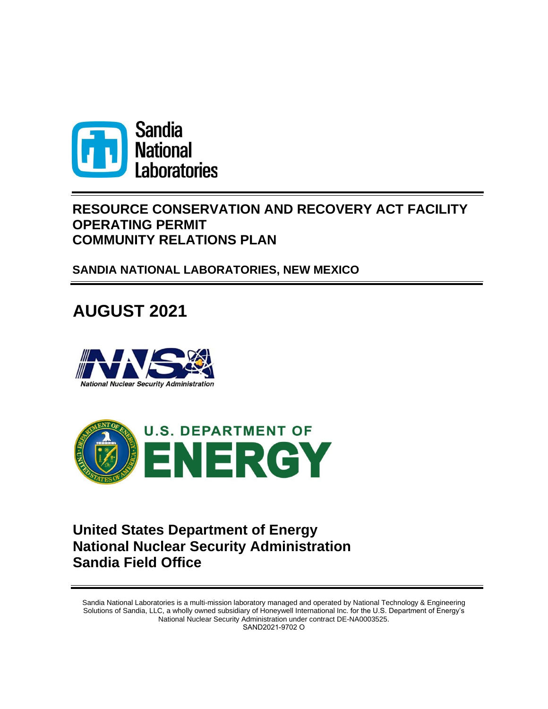

# **RESOURCE CONSERVATION AND RECOVERY ACT FACILITY OPERATING PERMIT COMMUNITY RELATIONS PLAN**

**SANDIA NATIONAL LABORATORIES, NEW MEXICO**

# **AUGUST 2021**





# **United States Department of Energy National Nuclear Security Administration Sandia Field Office**

Sandia National Laboratories is a multi-mission laboratory managed and operated by National Technology & Engineering Solutions of Sandia, LLC, a wholly owned subsidiary of Honeywell International Inc. for the U.S. Department of Energy's National Nuclear Security Administration under contract DE-NA0003525. SAND2021-9702 O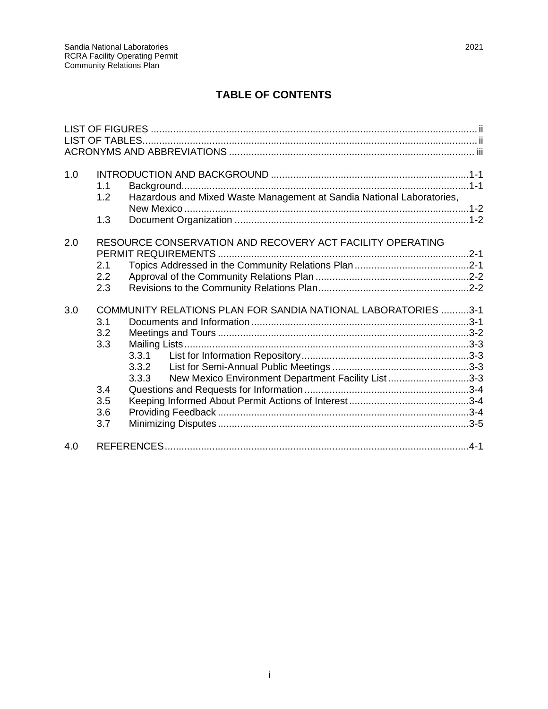| 1.0 | 1.1<br>1.2                                    | Hazardous and Mixed Waste Management at Sandia National Laboratories,                                                                          |  |
|-----|-----------------------------------------------|------------------------------------------------------------------------------------------------------------------------------------------------|--|
|     | 1.3                                           |                                                                                                                                                |  |
| 2.0 | 2.1<br>2.2<br>2.3                             | RESOURCE CONSERVATION AND RECOVERY ACT FACILITY OPERATING                                                                                      |  |
| 3.0 | 3.1<br>3.2<br>3.3<br>3.4<br>3.5<br>3.6<br>3.7 | COMMUNITY RELATIONS PLAN FOR SANDIA NATIONAL LABORATORIES 3-1<br>3.3.1<br>3.3.2<br>New Mexico Environment Department Facility List3-3<br>3.3.3 |  |
| 4.0 |                                               |                                                                                                                                                |  |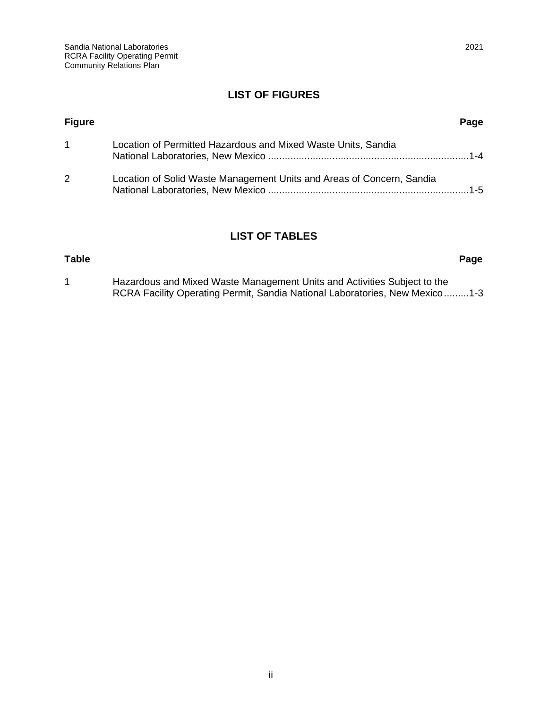#### **LIST OF FIGURES**

<span id="page-3-0"></span>

| <b>Figure</b> |                                                                       | Page   |
|---------------|-----------------------------------------------------------------------|--------|
|               | Location of Permitted Hazardous and Mixed Waste Units, Sandia         |        |
| $\mathbf{2}$  | Location of Solid Waste Management Units and Areas of Concern, Sandia | $-1-5$ |

#### **LIST OF TABLES**

## <span id="page-3-1"></span>**Table Page** 1 Hazardous and Mixed Waste Management Units and Activities Subject to the RCRA Facility Operating Permit, Sandia National Laboratories, New Mexico........[.1-3](#page-8-0)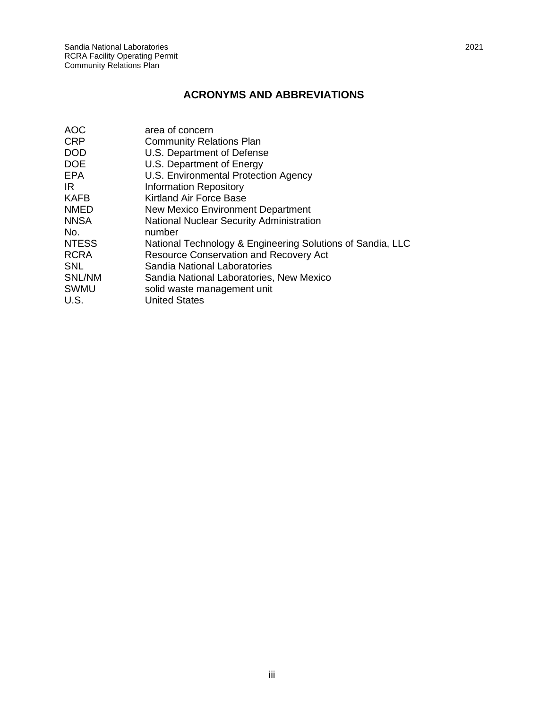### <span id="page-4-0"></span>**ACRONYMS AND ABBREVIATIONS**

| <b>AOC</b>   | area of concern                                            |
|--------------|------------------------------------------------------------|
| <b>CRP</b>   | <b>Community Relations Plan</b>                            |
| <b>DOD</b>   | U.S. Department of Defense                                 |
| <b>DOE</b>   | U.S. Department of Energy                                  |
| <b>EPA</b>   | U.S. Environmental Protection Agency                       |
| IR           | <b>Information Repository</b>                              |
| KAFB         | Kirtland Air Force Base                                    |
| <b>NMED</b>  | New Mexico Environment Department                          |
| <b>NNSA</b>  | <b>National Nuclear Security Administration</b>            |
| No.          | number                                                     |
| <b>NTESS</b> | National Technology & Engineering Solutions of Sandia, LLC |
| <b>RCRA</b>  | <b>Resource Conservation and Recovery Act</b>              |
| <b>SNL</b>   | Sandia National Laboratories                               |
| SNL/NM       | Sandia National Laboratories, New Mexico                   |
| SWMU         | solid waste management unit                                |
| U.S.         | <b>United States</b>                                       |
|              |                                                            |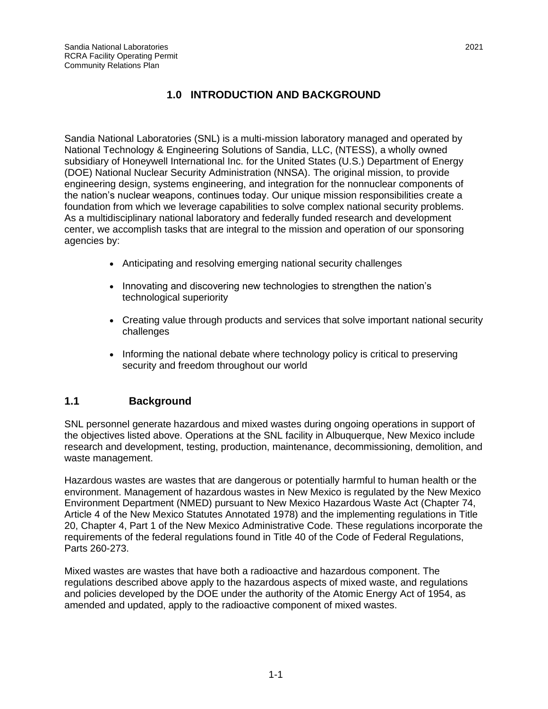#### **1.0 INTRODUCTION AND BACKGROUND**

<span id="page-6-0"></span>Sandia National Laboratories (SNL) is a multi-mission laboratory managed and operated by National Technology & Engineering Solutions of Sandia, LLC, (NTESS), a wholly owned subsidiary of Honeywell International Inc. for the United States (U.S.) Department of Energy (DOE) National Nuclear Security Administration (NNSA). The original mission, to provide engineering design, systems engineering, and integration for the nonnuclear components of the nation's nuclear weapons, continues today. Our unique mission responsibilities create a foundation from which we leverage capabilities to solve complex national security problems. As a multidisciplinary national laboratory and federally funded research and development center, we accomplish tasks that are integral to the mission and operation of our sponsoring agencies by:

- Anticipating and resolving emerging national security challenges
- Innovating and discovering new technologies to strengthen the nation's technological superiority
- Creating value through products and services that solve important national security challenges
- Informing the national debate where technology policy is critical to preserving security and freedom throughout our world

#### <span id="page-6-1"></span>**1.1 Background**

SNL personnel generate hazardous and mixed wastes during ongoing operations in support of the objectives listed above. Operations at the SNL facility in Albuquerque, New Mexico include research and development, testing, production, maintenance, decommissioning, demolition, and waste management.

Hazardous wastes are wastes that are dangerous or potentially harmful to human health or the environment. Management of hazardous wastes in New Mexico is regulated by the New Mexico Environment Department (NMED) pursuant to New Mexico Hazardous Waste Act (Chapter 74, Article 4 of the New Mexico Statutes Annotated 1978) and the implementing regulations in Title 20, Chapter 4, Part 1 of the New Mexico Administrative Code. These regulations incorporate the requirements of the federal regulations found in Title 40 of the Code of Federal Regulations, Parts 260-273.

Mixed wastes are wastes that have both a radioactive and hazardous component. The regulations described above apply to the hazardous aspects of mixed waste, and regulations and policies developed by the DOE under the authority of the Atomic Energy Act of 1954, as amended and updated, apply to the radioactive component of mixed wastes.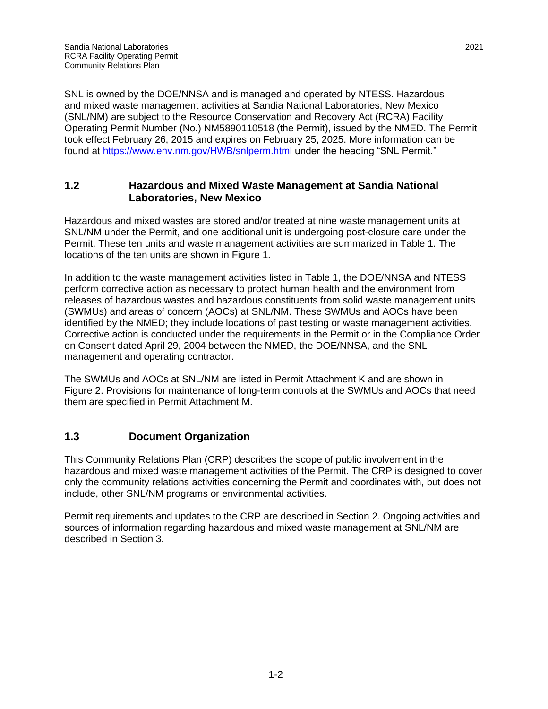SNL is owned by the DOE/NNSA and is managed and operated by NTESS. Hazardous and mixed waste management activities at Sandia National Laboratories, New Mexico (SNL/NM) are subject to the Resource Conservation and Recovery Act (RCRA) Facility Operating Permit Number (No.) NM5890110518 (the Permit), issued by the NMED. The Permit took effect February 26, 2015 and expires on February 25, 2025. More information can be found at<https://www.env.nm.gov/HWB/snlperm.html> under the heading "SNL Permit."

#### <span id="page-7-0"></span>**1.2 Hazardous and Mixed Waste Management at Sandia National Laboratories, New Mexico**

Hazardous and mixed wastes are stored and/or treated at nine waste management units at SNL/NM under the Permit, and one additional unit is undergoing post-closure care under the Permit. These ten units and waste management activities are summarized in Table 1. The locations of the ten units are shown in Figure 1.

In addition to the waste management activities listed in Table 1, the DOE/NNSA and NTESS perform corrective action as necessary to protect human health and the environment from releases of hazardous wastes and hazardous constituents from solid waste management units (SWMUs) and areas of concern (AOCs) at SNL/NM. These SWMUs and AOCs have been identified by the NMED; they include locations of past testing or waste management activities. Corrective action is conducted under the requirements in the Permit or in the Compliance Order on Consent dated April 29, 2004 between the NMED, the DOE/NNSA, and the SNL management and operating contractor.

The SWMUs and AOCs at SNL/NM are listed in Permit Attachment K and are shown in Figure 2. Provisions for maintenance of long-term controls at the SWMUs and AOCs that need them are specified in Permit Attachment M.

#### <span id="page-7-1"></span>**1.3 Document Organization**

This Community Relations Plan (CRP) describes the scope of public involvement in the hazardous and mixed waste management activities of the Permit. The CRP is designed to cover only the community relations activities concerning the Permit and coordinates with, but does not include, other SNL/NM programs or environmental activities.

Permit requirements and updates to the CRP are described in Section 2. Ongoing activities and sources of information regarding hazardous and mixed waste management at SNL/NM are described in Section 3.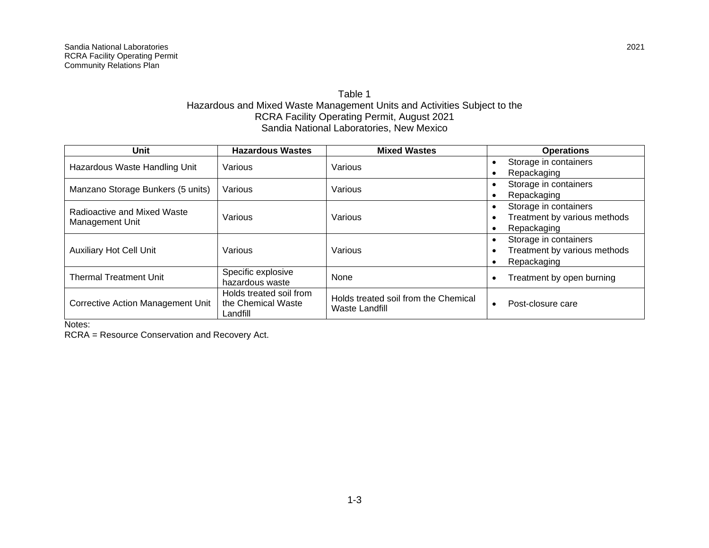#### <span id="page-8-0"></span>Table 1 Hazardous and Mixed Waste Management Units and Activities Subject to the RCRA Facility Operating Permit, August 2021 Sandia National Laboratories, New Mexico

| Unit                                           | <b>Hazardous Wastes</b>                                   | <b>Mixed Wastes</b>                                           | <b>Operations</b>                                                    |
|------------------------------------------------|-----------------------------------------------------------|---------------------------------------------------------------|----------------------------------------------------------------------|
| Hazardous Waste Handling Unit                  | Various                                                   | Various                                                       | Storage in containers<br>Repackaging<br>$\bullet$                    |
| Manzano Storage Bunkers (5 units)              | Various                                                   | Various                                                       | Storage in containers<br>Repackaging<br>$\bullet$                    |
| Radioactive and Mixed Waste<br>Management Unit | Various                                                   | Various                                                       | Storage in containers<br>Treatment by various methods<br>Repackaging |
| <b>Auxiliary Hot Cell Unit</b>                 | Various                                                   | Various                                                       | Storage in containers<br>Treatment by various methods<br>Repackaging |
| <b>Thermal Treatment Unit</b>                  | Specific explosive<br>hazardous waste                     | None                                                          | Treatment by open burning                                            |
| <b>Corrective Action Management Unit</b>       | Holds treated soil from<br>the Chemical Waste<br>Landfill | Holds treated soil from the Chemical<br><b>Waste Landfill</b> | Post-closure care                                                    |

Notes:

RCRA = Resource Conservation and Recovery Act.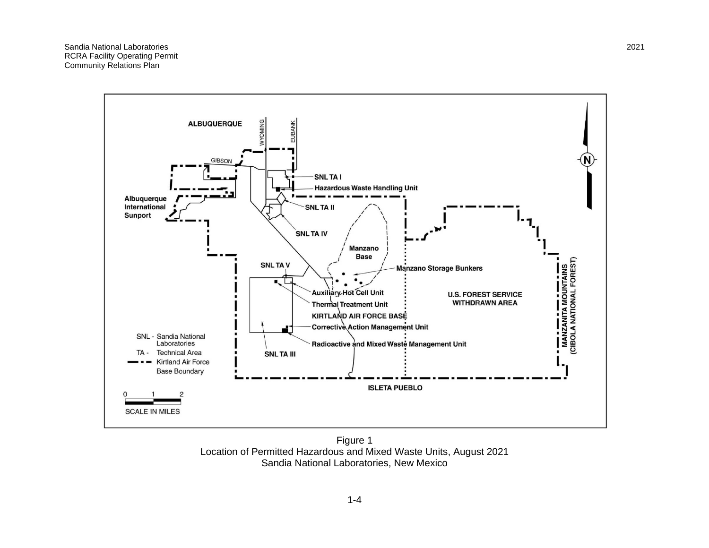Sandia National Laboratories 2021 RCRA Facility Operating Permit Community Relations Plan



<span id="page-9-0"></span>Figure 1 Location of Permitted Hazardous and Mixed Waste Units, August 2021 Sandia National Laboratories, New Mexico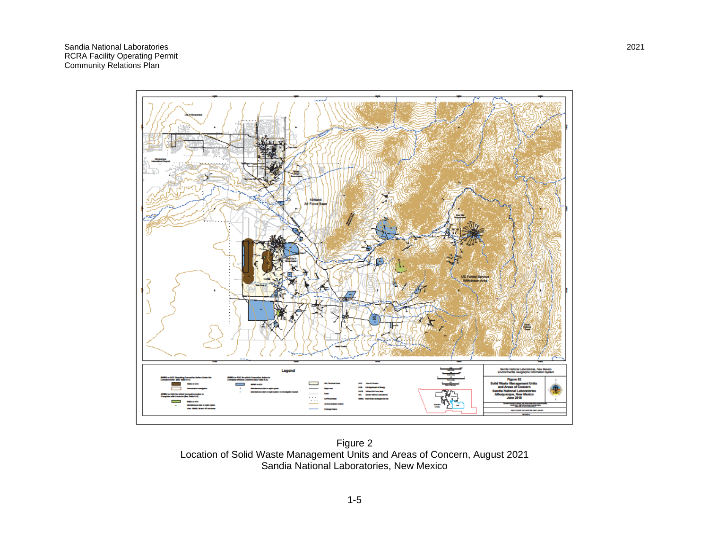Sandia National Laboratories 2021 RCRA Facility Operating Permit Community Relations Plan



<span id="page-10-0"></span>Figure 2 Location of Solid Waste Management Units and Areas of Concern, August 2021 Sandia National Laboratories, New Mexico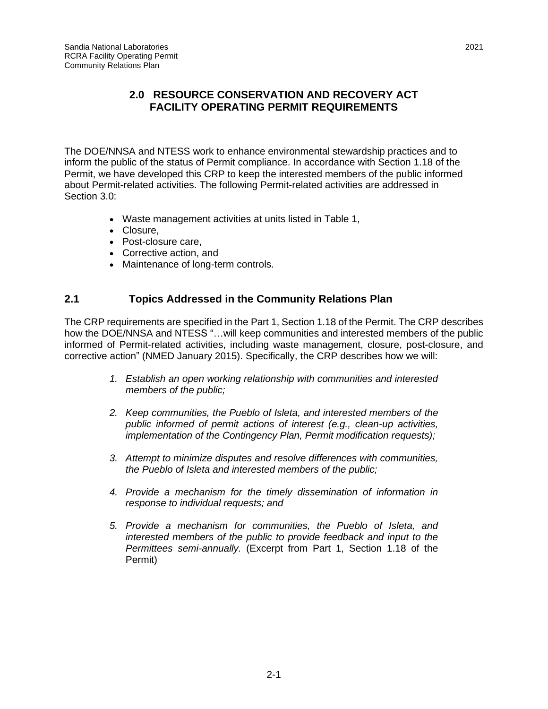#### **2.0 RESOURCE CONSERVATION AND RECOVERY ACT FACILITY OPERATING PERMIT REQUIREMENTS**

<span id="page-12-0"></span>The DOE/NNSA and NTESS work to enhance environmental stewardship practices and to inform the public of the status of Permit compliance. In accordance with Section 1.18 of the Permit, we have developed this CRP to keep the interested members of the public informed about Permit-related activities. The following Permit-related activities are addressed in Section 3.0:

- Waste management activities at units listed in Table 1,
- Closure,
- Post-closure care,
- Corrective action, and
- Maintenance of long-term controls.

#### <span id="page-12-1"></span>**2.1 Topics Addressed in the Community Relations Plan**

The CRP requirements are specified in the Part 1, Section 1.18 of the Permit. The CRP describes how the DOE/NNSA and NTESS "…will keep communities and interested members of the public informed of Permit-related activities, including waste management, closure, post-closure, and corrective action" (NMED January 2015). Specifically, the CRP describes how we will:

- *1. Establish an open working relationship with communities and interested members of the public;*
- *2. Keep communities, the Pueblo of Isleta, and interested members of the public informed of permit actions of interest (e.g., clean-up activities, implementation of the Contingency Plan, Permit modification requests);*
- *3. Attempt to minimize disputes and resolve differences with communities, the Pueblo of Isleta and interested members of the public;*
- *4. Provide a mechanism for the timely dissemination of information in response to individual requests; and*
- *5. Provide a mechanism for communities, the Pueblo of Isleta, and interested members of the public to provide feedback and input to the Permittees semi-annually.* (Excerpt from Part 1, Section 1.18 of the Permit)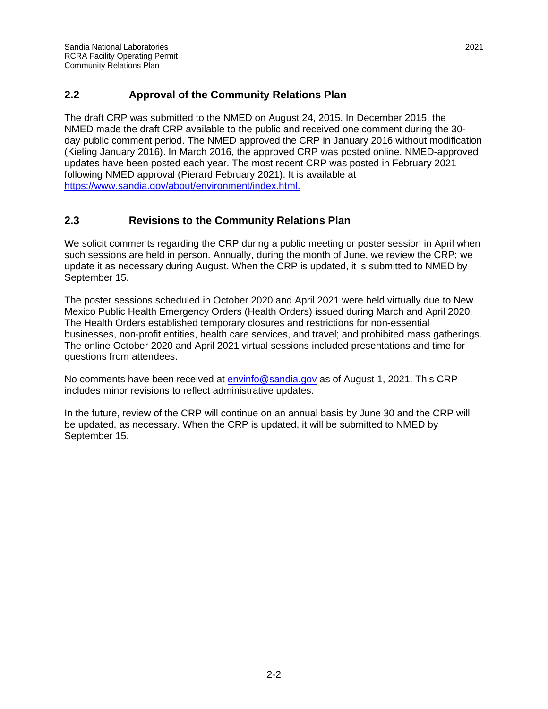#### <span id="page-13-0"></span>**2.2 Approval of the Community Relations Plan**

The draft CRP was submitted to the NMED on August 24, 2015. In December 2015, the NMED made the draft CRP available to the public and received one comment during the 30 day public comment period. The NMED approved the CRP in January 2016 without modification (Kieling January 2016). In March 2016, the approved CRP was posted online. NMED-approved updates have been posted each year. The most recent CRP was posted in February 2021 following NMED approval (Pierard February 2021). It is available at [https://www.sandia.gov/about/environment/index.html.](https://www.sandia.gov/about/environment/index.html)

#### <span id="page-13-1"></span>**2.3 Revisions to the Community Relations Plan**

We solicit comments regarding the CRP during a public meeting or poster session in April when such sessions are held in person. Annually, during the month of June, we review the CRP; we update it as necessary during August. When the CRP is updated, it is submitted to NMED by September 15.

The poster sessions scheduled in October 2020 and April 2021 were held virtually due to New Mexico Public Health Emergency Orders (Health Orders) issued during March and April 2020. The Health Orders established temporary closures and restrictions for non-essential businesses, non-profit entities, health care services, and travel; and prohibited mass gatherings. The online October 2020 and April 2021 virtual sessions included presentations and time for questions from attendees.

No comments have been received at **envinfo@sandia.gov** as of August 1, 2021. This CRP includes minor revisions to reflect administrative updates.

In the future, review of the CRP will continue on an annual basis by June 30 and the CRP will be updated, as necessary. When the CRP is updated, it will be submitted to NMED by September 15.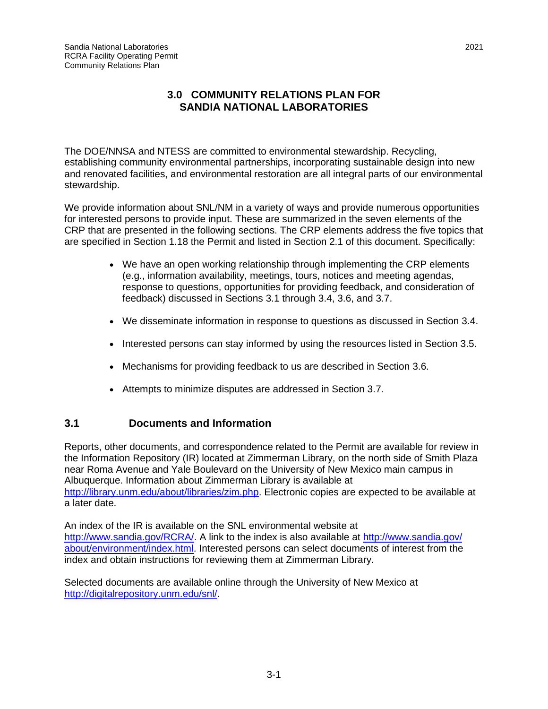#### <span id="page-14-0"></span>**3.0 COMMUNITY RELATIONS PLAN FOR SANDIA NATIONAL LABORATORIES**

The DOE/NNSA and NTESS are committed to environmental stewardship. Recycling, establishing community environmental partnerships, incorporating sustainable design into new and renovated facilities, and environmental restoration are all integral parts of our environmental stewardship.

We provide information about SNL/NM in a variety of ways and provide numerous opportunities for interested persons to provide input. These are summarized in the seven elements of the CRP that are presented in the following sections. The CRP elements address the five topics that are specified in Section 1.18 the Permit and listed in Section 2.1 of this document. Specifically:

- We have an open working relationship through implementing the CRP elements (e.g., information availability, meetings, tours, notices and meeting agendas, response to questions, opportunities for providing feedback, and consideration of feedback) discussed in Sections 3.1 through 3.4, 3.6, and 3.7.
- We disseminate information in response to questions as discussed in Section 3.4.
- Interested persons can stay informed by using the resources listed in Section 3.5.
- Mechanisms for providing feedback to us are described in Section 3.6.
- Attempts to minimize disputes are addressed in Section 3.7.

#### <span id="page-14-1"></span>**3.1 Documents and Information**

Reports, other documents, and correspondence related to the Permit are available for review in the Information Repository (IR) located at Zimmerman Library, on the north side of Smith Plaza near Roma Avenue and Yale Boulevard on the University of New Mexico main campus in Albuquerque. Information about Zimmerman Library is available at [http://library.unm.edu/about/libraries/zim.php.](http://library.unm.edu/about/libraries/zim.php) Electronic copies are expected to be available at a later date.

An index of the IR is available on the SNL environmental website at [http://www.sandia.gov/RCRA/.](http://www.sandia.gov/RCRA/) A link to the index is also available at [http://www.sandia.gov/](http://www.sandia.gov/about/environment/index.html) [about/environment/index.html.](http://www.sandia.gov/about/environment/index.html) Interested persons can select documents of interest from the index and obtain instructions for reviewing them at Zimmerman Library.

Selected documents are available online through the University of New Mexico at [http://digitalrepository.unm.edu/snl/.](http://digitalrepository.unm.edu/snl/)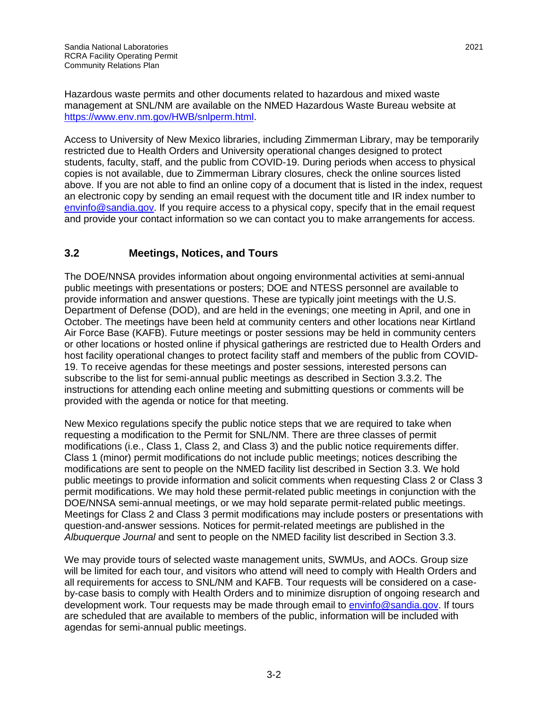Hazardous waste permits and other documents related to hazardous and mixed waste management at SNL/NM are available on the NMED Hazardous Waste Bureau website at [https://www.env.nm.gov/HWB/snlperm.html.](https://www.env.nm.gov/HWB/snlperm.html)

Access to University of New Mexico libraries, including Zimmerman Library, may be temporarily restricted due to Health Orders and University operational changes designed to protect students, faculty, staff, and the public from COVID-19. During periods when access to physical copies is not available, due to Zimmerman Library closures, check the online sources listed above. If you are not able to find an online copy of a document that is listed in the index, request an electronic copy by sending an email request with the document title and IR index number to [envinfo@sandia.gov.](mailto:envinfo@sandia.gov) If you require access to a physical copy, specify that in the email request and provide your contact information so we can contact you to make arrangements for access.

#### <span id="page-15-0"></span>**3.2 Meetings, Notices, and Tours**

The DOE/NNSA provides information about ongoing environmental activities at semi-annual public meetings with presentations or posters; DOE and NTESS personnel are available to provide information and answer questions. These are typically joint meetings with the U.S. Department of Defense (DOD), and are held in the evenings; one meeting in April, and one in October. The meetings have been held at community centers and other locations near Kirtland Air Force Base (KAFB). Future meetings or poster sessions may be held in community centers or other locations or hosted online if physical gatherings are restricted due to Health Orders and host facility operational changes to protect facility staff and members of the public from COVID-19. To receive agendas for these meetings and poster sessions, interested persons can subscribe to the list for semi-annual public meetings as described in Section 3.3.2. The instructions for attending each online meeting and submitting questions or comments will be provided with the agenda or notice for that meeting.

New Mexico regulations specify the public notice steps that we are required to take when requesting a modification to the Permit for SNL/NM. There are three classes of permit modifications (i.e., Class 1, Class 2, and Class 3) and the public notice requirements differ. Class 1 (minor) permit modifications do not include public meetings; notices describing the modifications are sent to people on the NMED facility list described in Section 3.3. We hold public meetings to provide information and solicit comments when requesting Class 2 or Class 3 permit modifications. We may hold these permit-related public meetings in conjunction with the DOE/NNSA semi-annual meetings, or we may hold separate permit-related public meetings. Meetings for Class 2 and Class 3 permit modifications may include posters or presentations with question-and-answer sessions. Notices for permit-related meetings are published in the *Albuquerque Journal* and sent to people on the NMED facility list described in Section 3.3.

We may provide tours of selected waste management units, SWMUs, and AOCs. Group size will be limited for each tour, and visitors who attend will need to comply with Health Orders and all requirements for access to SNL/NM and KAFB. Tour requests will be considered on a caseby-case basis to comply with Health Orders and to minimize disruption of ongoing research and development work. Tour requests may be made through email to [envinfo@sandia.gov.](mailto:envinfo@sandia.gov) If tours are scheduled that are available to members of the public, information will be included with agendas for semi-annual public meetings.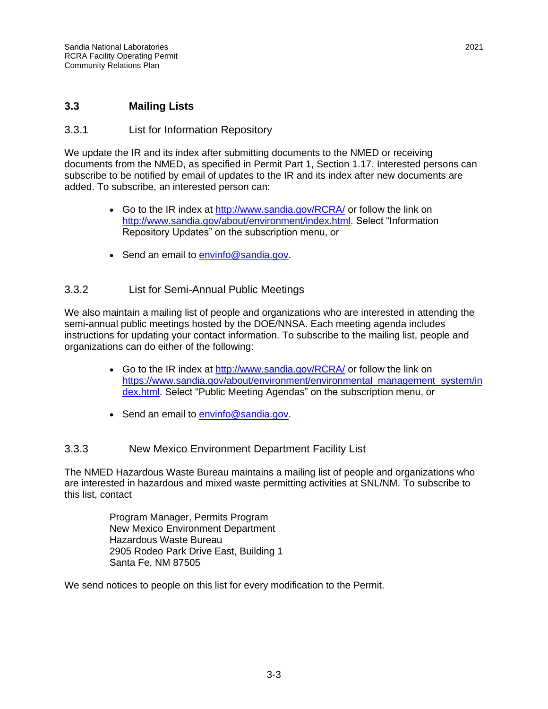#### <span id="page-16-0"></span>**3.3 Mailing Lists**

#### <span id="page-16-1"></span>3.3.1 List for Information Repository

We update the IR and its index after submitting documents to the NMED or receiving documents from the NMED, as specified in Permit Part 1, Section 1.17. Interested persons can subscribe to be notified by email of updates to the IR and its index after new documents are added. To subscribe, an interested person can:

- Go to the IR index at<http://www.sandia.gov/RCRA/> or follow the link on [http://www.sandia.gov/about/environment/index.html.](http://www.sandia.gov/about/environment/index.html) Select "Information Repository Updates" on the subscription menu, or
- Send an email to [envinfo@sandia.gov.](mailto:envinfo@sandia.gov)

#### <span id="page-16-2"></span>3.3.2 List for Semi-Annual Public Meetings

We also maintain a mailing list of people and organizations who are interested in attending the semi-annual public meetings hosted by the DOE/NNSA. Each meeting agenda includes instructions for updating your contact information. To subscribe to the mailing list, people and organizations can do either of the following:

- Go to the IR index at<http://www.sandia.gov/RCRA/> or follow the link on [https://www.sandia.gov/about/environment/environmental\\_management\\_system/in](https://www.sandia.gov/about/environment/environmental_management_system/index.html) [dex.html.](https://www.sandia.gov/about/environment/environmental_management_system/index.html) Select "Public Meeting Agendas" on the subscription menu, or
- Send an email to [envinfo@sandia.gov.](mailto:envinfo@sandia.gov)

#### <span id="page-16-3"></span>3.3.3 New Mexico Environment Department Facility List

The NMED Hazardous Waste Bureau maintains a mailing list of people and organizations who are interested in hazardous and mixed waste permitting activities at SNL/NM. To subscribe to this list, contact

> Program Manager, Permits Program New Mexico Environment Department Hazardous Waste Bureau 2905 Rodeo Park Drive East, Building 1 Santa Fe, NM 87505

We send notices to people on this list for every modification to the Permit.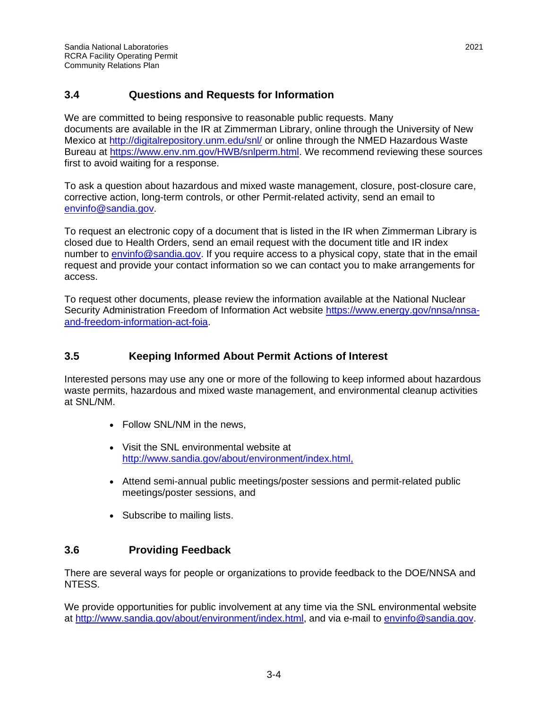#### <span id="page-17-0"></span>**3.4 Questions and Requests for Information**

We are committed to being responsive to reasonable public requests. Many documents are available in the IR at Zimmerman Library, online through the University of New Mexico at<http://digitalrepository.unm.edu/snl/> or online through the NMED Hazardous Waste Bureau at [https://www.env.nm.gov/HWB/snlperm.html.](https://www.env.nm.gov/HWB/snlperm.html) We recommend reviewing these sources first to avoid waiting for a response.

To ask a question about hazardous and mixed waste management, closure, post-closure care, corrective action, long-term controls, or other Permit-related activity, send an email to [envinfo@sandia.gov.](mailto:envinfo@sandia.gov)

To request an electronic copy of a document that is listed in the IR when Zimmerman Library is closed due to Health Orders, send an email request with the document title and IR index number to [envinfo@sandia.gov.](mailto:envinfo@sandia.gov) If you require access to a physical copy, state that in the email request and provide your contact information so we can contact you to make arrangements for access.

To request other documents, please review the information available at the National Nuclear Security Administration Freedom of Information Act website https://www.energy.gov/nnsa/nnsaand-freedom-information-act-foia.

#### <span id="page-17-1"></span>**3.5 Keeping Informed About Permit Actions of Interest**

Interested persons may use any one or more of the following to keep informed about hazardous waste permits, hazardous and mixed waste management, and environmental cleanup activities at SNL/NM.

- Follow SNL/NM in the news,
- Visit the SNL environmental website at [http://www.sandia.gov/about/environment/index.html,](http://www.sandia.gov/about/environment/index.html)
- Attend semi-annual public meetings/poster sessions and permit-related public meetings/poster sessions, and
- Subscribe to mailing lists.

#### <span id="page-17-2"></span>**3.6 Providing Feedback**

There are several ways for people or organizations to provide feedback to the DOE/NNSA and NTESS.

We provide opportunities for public involvement at any time via the SNL environmental website at [http://www.sandia.gov/about/environment/index.html,](http://www.sandia.gov/about/environment/index.html) and via e-mail to [envinfo@sandia.gov.](mailto:envinfo@sandia.gov)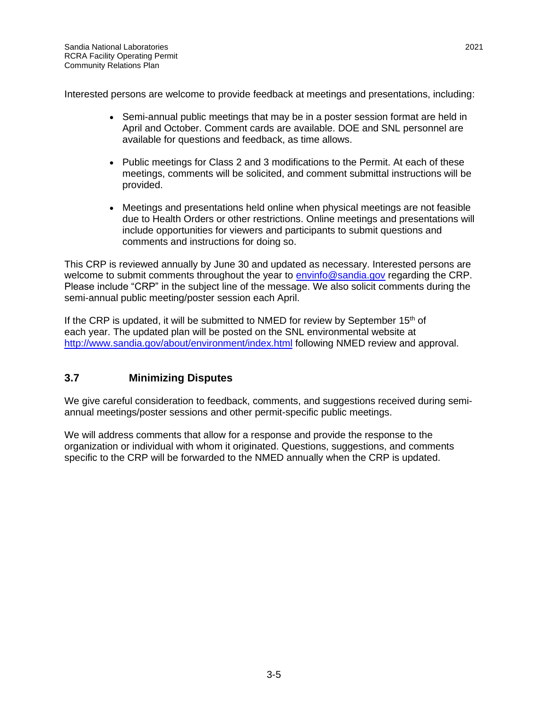Interested persons are welcome to provide feedback at meetings and presentations, including:

- Semi-annual public meetings that may be in a poster session format are held in April and October. Comment cards are available. DOE and SNL personnel are available for questions and feedback, as time allows.
- Public meetings for Class 2 and 3 modifications to the Permit. At each of these meetings, comments will be solicited, and comment submittal instructions will be provided.
- Meetings and presentations held online when physical meetings are not feasible due to Health Orders or other restrictions. Online meetings and presentations will include opportunities for viewers and participants to submit questions and comments and instructions for doing so.

This CRP is reviewed annually by June 30 and updated as necessary. Interested persons are welcome to submit comments throughout the year to [envinfo@sandia.gov](mailto:envinfo@sandia.gov) regarding the CRP. Please include "CRP" in the subject line of the message. We also solicit comments during the semi-annual public meeting/poster session each April.

If the CRP is updated, it will be submitted to NMED for review by September  $15<sup>th</sup>$  of each year. The updated plan will be posted on the SNL environmental website at <http://www.sandia.gov/about/environment/index.html> following NMED review and approval.

#### <span id="page-18-0"></span>**3.7 Minimizing Disputes**

We give careful consideration to feedback, comments, and suggestions received during semiannual meetings/poster sessions and other permit-specific public meetings.

We will address comments that allow for a response and provide the response to the organization or individual with whom it originated. Questions, suggestions, and comments specific to the CRP will be forwarded to the NMED annually when the CRP is updated.